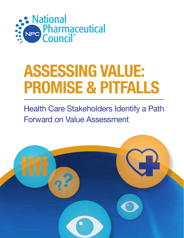

# **ASSESSING VALUE: PROMISE & PITFALLS**

Health Care Stakeholders Identify a Path Forward on Value Assessment

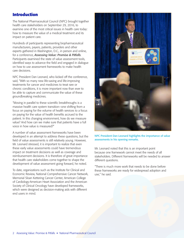# **Introduction**

The National Pharmaceutical Council (NPC) brought together health care stakeholders on September 29, 2016, to examine one of the most critical issues in health care today: how to measure the value of a medical treatment and its impact on patient care.

Hundreds of participants representing biopharmaceutical manufacturers, payers, patients, providers and other experts gathered in Washington, D.C., in person and online, for a conference, *Assessing Value: Promise & Pitfalls*. Participants examined the state of value assessment tools, identified ways to advance the field and engaged in dialogue on how to use assessment frameworks to make health care decisions.

NPC President Dan Leonard, who kicked off the conference, said, "With so many new life-saving and life-improving treatments for cancer and medicines to treat rare or chronic conditions, it is more important now than ever to be able to capture and communicate the value of these groundbreaking medicines.

"Moving in parallel to these scientific breakthroughs is a massive health care system transition—one shifting from a focus on paying for the volume of health services to a focus on paying for the value of health benefits accrued to the patient. In this changing environment, how do we measure value? And how can we make sure that patients have a full voice in how value is measured?"

A number of value assessment frameworks have been developed in an attempt to address these questions, but the field of value assessments is still relatively young. However, Mr. Leonard stressed, it is important to realize that even these early value assessments could have tremendous impact on treatment decisions as well as coverage and reimbursement decisions. It is therefore of great importance that health care stakeholders come together to shape the development of value assessment going forward, he noted.

To date, organizations such as the Institute for Clinical and Economic Review, National Comprehensive Cancer Network, Memorial Sloan Kettering Cancer Center, American College of Cardiology-American Heart Association and the American Society of Clinical Oncology have developed frameworks, which were designed as decision-making aids with different end users in mind.



NPC President Dan Leonard highlights the importance of value assessments in his opening remarks.

Mr. Leonard noted that this is an important point because one framework cannot meet the needs of all stakeholders. Different frameworks will be needed to answer different questions.

"There is much more work that needs to be done before these frameworks are ready for widespread adoption and use," he said.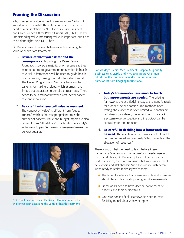# **Framing the Discussion**

Why is assessing value in health care important? Why is it important to do it right? These two questions were at the heart of a presentation by NPC Executive Vice President and Chief Science Officer Robert Dubois, MD, PhD. "Clearly understanding value, measuring value, is important, but it has to be done right," said Dr. Dubois.

Dr. Dubois raised four key challenges with assessing the value of health care treatments:

1. **Beware of what you ask for and the consequences.** According to a Kaiser Family Foundation survey, a majority of Americans say they want to see more government intervention in health care. Value frameworks will be used to guide health care decisions, making this a double-edged sword. The United Kingdom and Germany have similar systems for making choices, which at times have limited patient access to beneficial treatments. There needs to be a tradeoff between cost, better patient care and innovation.

#### 2. **Be careful what you call value assessment.**

The concept of "value" is different from "budget impact," which is the cost per patient times the number of patients. Value and budget impact are also different from "affordability," which refers to society's willingness to pay. Terms—and assessments—need to be kept separate.



NPC Chief Science Officer Dr. Robert Dubois outlines the flexibility to include a variety of inputs. challenges with assessing the value of health treatments.



Patrick Magri, Senior Vice President, Hospital & Specialty Business Unit, Merck, and NPC 2016 Board Chairman, introduces the morning panel discussion on moving frameworks from fledgling to functional.

- 3. **Today's frameworks have much to teach, but improvements are needed.** The existing frameworks are at a fledgling stage, and none is ready for broader use or adoption. The methods need testing, the evidence is often limited, all benefits are not always considered, the assessments may lack a system-wide perspective and the output can be confusing for the end user.
- 4. **Be careful in deciding how a framework can be used.** The results of a framework's output could be misinterpreted and seriously "affect patients in the allocation of resources."

There is much that we need to learn before these frameworks "are ready for prime time" or broader use in the United States, Dr. Dubois explained. In order for the field to advance, there are six issues that value assessment developers and stakeholders "need to wrestle with before we're ready to really, really say we're there":

- The type of evidence that is used—and how it is used should be a critical underpinning for all assessments.
- Frameworks need to have deeper involvement of patients and their perspectives.
- One size doesn't fit all. Frameworks need to have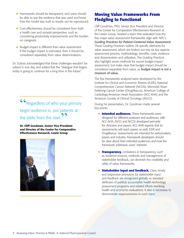- Frameworks should be transparent; end users should be able to see the evidence that was used and know how the model was built so results can be reproduced.
- Cost effectiveness should be considered from both a health care and societal perspective, such as considering productivity improvements and the burden on caregivers.
- Budget impact is different than value assessment. If the budget impact is estimated, then it should be considered separately from value determinations.

Dr. Dubois acknowledged that these challenges wouldn't be solved in one day, and added that the "dialogue that begins today is going to continue for a long time in the future."

66 Regardless of who your primary target audience is, put patients at the table from the start.

**Dr. Cliff Goodman, Senior Vice President and Director of the Center for Comparative Effectiveness Research, Lewin Group** 



# **Moving Value Frameworks From Fledgling to Functional**

Cliff Goodman, PhD, Senior Vice President and Director of the Center for Comparative Effectiveness Research at the Lewin Group, headed a team that evaluated how the five major value assessment frameworks align with NPC's *Guiding Practices for Patient-Centered Value Assessment*. These *Guiding Practices* outline 28 specific elements for value assessment, which are broken out into six key aspects: assessment process, methodology, benefits, costs, evidence and dissemination and utilization. The *Guiding Practices* also highlight seven methods for sound budget impact assessment, but make clear that budget impact should be considered separately from value, as budget impact is not a measure of value**.**

The five frameworks analyzed were developed by the Institute for Clinical and Economic Review (ICER), National Comprehensive Cancer Network (NCCN), Memorial Sloan Kettering Cancer Center (DrugAbacus), American College of Cardiology-American Heart Association (ACC-AHA) and the American Society of Clinical Oncology (ASCO).

During his presentation, Dr. Goodman made several key points:

- **Intended audiences.** These frameworks were designed for different purposes and audiences, with ACC-AHA, ASCO and NCCN developed primarily for clinicians and payers; ACC-AHA expects that its assessments will reach payers as well. ICER and DrugAbacus' assessments are intended for policymakers, payers and industry. Framework developers should be clear about their intended audiences and how the framework addresses users' interests.
- **Transparency.** Limitations in transparency, such as evidence sources, methods and management of stakeholder feedback, can diminish the credibility and utility of value frameworks.
- **Stakeholder input and feedback.** Clear, timely and responsive provisions for stakeholder input and feedback are recognized globally as standard attributes of publicly accountable health technology assessment programs and related efforts involving health and economic evaluations. It also is necessary to demonstrate responsiveness to such input.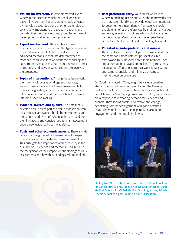- **Patient involvement.** To date, frameworks vary widely in the extent to which they seek or reflect patient involvement. Patients are ultimately affected by the value-based decisions of other stakeholders, so it is very important to engage with patients and consider their perspectives throughout the framework development and assessment processes.
- **Expert involvement.** The credibility of value assessments depends in part on the types and extent of expert involvement. As frameworks use more advanced methods to evaluate different types of evidence, conduct extensive economic modeling and serve more diverse users, they should revisit their mix of expertise and ways in which experts are involved in the processes.
- **Types of interventions.** Among these frameworks, the majority of focus is on drugs and biologics, leaving stakeholders without value assessments for devices, diagnostics, surgical procedures and other interventions. That limited focus will bias the basis for informed decision-making.
- **Evidence sources and quality.** The data that is selected and used as part of a value assessment can bias results. Frameworks should be transparent about the sources and types of evidence that are used, note their limitations and consider updating an assessment should new evidence become available.
- **Costs and other economic aspects.** There is wide variation among the value frameworks with respect to cost analyses and cost-effectiveness thresholds. This highlights the importance of transparency in the assumptions, evidence and methods used, but also the recognition of their impact on the findings of value assessments and how these findings will be applied.

**• User preference entry.** Value frameworks vary widely in enabling user input. All of the frameworks can be more user friendly and provide good user interfaces. To become more user friendly, frameworks should enable entry of user preferences by their primary target audience, as well as by others who might be affected by the findings. Most framework developers have generally indicated an interest in enabling this input.

#### ● **Potential misinterpretations and misuse.**

There is utility in having multiple frameworks address the same topic from different perspectives, but frameworks must be clear about their intended uses and assumptions to avoid confusion. They must make a concerted effort to ensure their work is transparent and comprehensible, and minimize or correct misinterpretation or misuse.

Dr. Goodman stated, "[T]hey might be called something else tomorrow, but value frameworks and the thinking of analyzing health and economic benefits for individuals and populations, that's not going away." As he noted, frameworks are a response to increasing demand for evidence and analysis. They should continue to evolve and change, benefitting from better alignment with good practices, especially when it comes to transparency, stakeholder engagement and methodological rigor.



Shelley Fuld Nasso, Chief Executive Officer, National Coalition for Cancer Survivorship, looks on as Dr. Stephen Noga, Senior Medical Director for Global Medical Oncology Affairs, Takeda Oncology, makes a point during a panel discussion.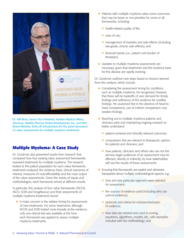

Dr. Jeff Bloss, Senior Vice President, Astellas Medical Affairs, Americas, Astellas Pharma Global Development, Inc., and NPC Board Member, kicks off introductions for the panel discussion on value assessments for multiple myeloma treatments.

# **Multiple Myeloma: A Case Study**

Dr. Goodman also presented results from research that compared how four existing value assessment frameworks reviewed treatments for multiple myeloma. The research looked at the patient population for each value framework, treatments analyzed, the evidence base, clinical outcomes of interest, measures of cost/affordability and the main output of the value assessments. Given the variety of inputs and methodologies, each framework arrived at different results.

In particular, this analysis of four value frameworks (NCCN, ASCO, ICER and DrugAbacus) and their assessments of multiple myeloma treatments found:

● A major concern is the relative timing for assessments of new treatments. For some treatments, although NCCN and ICER looked more broadly at the evidence, only one clinical trial was available at the time each framework was applied to assess multiple myeloma treatments.

- Patients with multiple myeloma value some outcomes that may be lesser or non-priorities for some or all frameworks, including:
	- health-related quality of life;
	- ease of use;
	- management of toxicities and side effects (including low-grade, chronic side effects); and
	- financial toxicity (i.e., patient cost burden of therapies).
- Updates to multiple myeloma assessments are necessary, given that treatments and the evidence base for this disease are rapidly evolving.

Dr. Goodman outlined next steps based on lessons learned from this analysis, which include:

- Considering the assessment timing for conditions such as multiple myeloma. He recognized, however, that there will be tradeoffs of user demand for timely findings and sufficiency of the evidence for credible findings. He cautioned that in the absence of head-tohead comparisons, use of indirect comparisons may weaken findings.
- Reaching out to multiple myeloma patients and clinicians early and maintaining ongoing outreach to better understand:
	- patient-centered and clinically relevant outcomes;
	- comparators that are relevant to therapeutic options for patients and clinicians; and
	- how patients, clinicians and others who are not the primary target audiences of an assessment may be affected, directly or indirectly, by how stakeholders will use the results of those assessments.
- Ensuring that frameworks are explicit and otherwise transparent about multiple methodological aspects, e.g.:
	- how and why particular regimens were selected for assessment;
	- $\blacksquare$  the sources of evidence used (including who can submit evidence);
	- **P** protocols and criteria for inclusion/exclusion of evidence;
	- how data are entered and used in scoring, equations, algorithms, models, etc., with examples included with the methodology; and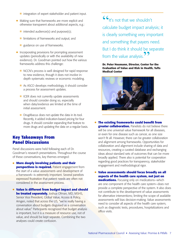- integration of expert stakeholder and patient input.
- Making sure that frameworks are more explicit and otherwise transparent about additional aspects, e.g.:
	- intended audience(s) and purpose(s);
	- limitations of frameworks and output; and
	- guidance on use of frameworks.
- Incorporating provisions for prompting assessment updates (periodically or with the availability of new evidence). Dr. Goodman pointed out how the various frameworks address this challenge:
	- NCCN's process is well designed for rapid response to new evidence, though it does not involve indepth systematic reviews or economic modeling.
	- As ASCO develops methodology, it should consider a process for assessment updates.
	- ICER does not currently update assessments and should consider doing so, especially when data/evidence are limited at the time of initial assessment.
	- DrugAbacus does not update the data in its tool. Recently, it added indication-based pricing for four drugs. It should consider expanding that feature to more drugs and updating the data on a regular basis.

## **Key Takeaways From Panel Discussions**

Panel discussions were held following each of Dr. Goodman's research presentations. Throughout the course of these conversations, key themes emerged:

- **More deeply involving patients and their perspectives is required.** Patient engagement from the start of a value assessment—and development of a framework—is extremely important. Several panelists expressed frustration that patient needs are often not considered in the assessment process.
- **Value is different from budget impact and should be treated separately.** Joshua Ofman, MD, MSHS, Senior Vice President, Global Value, Access & Policy, Amgen, noted that across the US, "we're really having a conversation about budgets disguised as a conversation about value." Participants recognized that budget analysis is important, but it is a measure of resource use, not of value, and should be kept separate. Combining the two analyses could create confusion.

**"**It's not that we shouldn't calculate budget impact analysis; it is clearly something very important and something that payers need. But I do think it should be separate from the value analysis.<sup>??</sup>

**Dr. Peter Neumann, Director, Center for the Evaluation of Value and Risk in Health, Tufts Medical Center**



- **The existing frameworks could benefit from greater collaboration.** Panelists do not believe there will be one universal value framework for all diseases, or even for one disease such as cancer, as one size won't fit all. However, there can be greater collaboration and alignment among frameworks. Opportunities for collaboration and alignment include sharing of data and resources, creating a curated database and exchanging ideas about standard sets of outcomes that can be more broadly applied. There also is potential for cooperation regarding good practices for transparency, stakeholder engagement and methodological rigor.
- **Value assessments should focus broadly on all aspects of the health care system, not just on medications.** Focusing only on medications-which are one component of the health care system—does not provide a complete perspective of the system. It also does not contribute to the development of value assessments for alternative interventions; limiting the scope of available assessments will bias decision-making. Value assessments need to consider all aspects of the health care system, such as diagnostic tests, procedures, hospitalizations and office visits.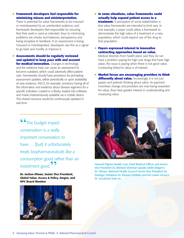● **Framework developers feel responsible for minimizing misuse and misinterpretation.** 

There is potential for value frameworks to be misused or misinterpreted by an unintended audience, and framework developers feel responsible for ensuring that their work is used as intended. Keys to minimizing problems are checks and balances, transparency and being receptive to feedback. If an assessment is being misused or misinterpreted, developers see this as a signal to go back and modify or improve it.

● **Assessments should be regularly reviewed and updated to keep pace with and account for medical innovation.** Changes in technology and the evidence base can cause an assessment to become outdated, which could adversely affect patient care. Frameworks should have provisions for prompting assessment updates, either periodically or upon availability of new evidence. ASCO, for example, envisions having all of the information and evidence about disease regimens for a specific indication curated in a library, loaded into software and made instantaneously available via a mobile device. This shared resource would be continuously updated in real time.

● **In some situations, value frameworks could actually help expand patient access to a** 

**treatment.** A perception of some stakeholders is that value frameworks are intended to limit care. In one example, a payer could utilize a framework to demonstrate the high value of a treatment in a new population, which could expand use of the drug to that population.

**Payers expressed interest in innovative contracting approaches based on value.**

Medical directors from health plans said they do not have a problem paying for high-cost drugs that have high value; the issue is paying when there is not good value. Contracting linked to value is of interest.

**Market forces are encouraging providers to think** differently about value. Increasingly, it is not just payers and patients thinking about value. As payment incentives change and providers are now being rewarded for value, they have greater interest in understanding and measuring value.

**"Subdet impact**" conversation is a really important conversation to have ... [but] it unfortunately treats biopharmaceuticals like a consumption good rather than an investment good.<sup>99</sup>

**Dr. Joshua Ofman, Senior Vice President, Global Value, Access & Policy, Amgen, and NPC Board Member**





Harvard Pilgrim Health Care Chief Medical Officer and Senior Vice President Dr. Michael Sherman speaks while Amgen's Dr. Ofman, National Health Council Senior Vice President for Strategic Initiatives Dr. Eleanor Perfetto and the Lewin Group's Dr. Goodman look on.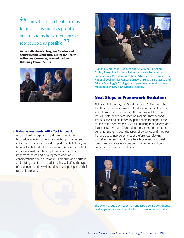**66** think it is incumbent upon us to be as transparent as possible and also to make our methods as reproducible as possible.<sup>99</sup>

**Anna Kaltenboeck, Program Director and Senior Health Economist, Center for Health Policy and Outcomes, Memorial Sloan Kettering Cancer Center**



Humana Senior Vice President and Chief Medical Officer Dr. Roy Beveridge, National Patient Advocate Foundation Executive Vice President for Patient Advocacy Gwen Darien, the National Coalition for Cancer Survivorship's Ms. Fuld Nasso and Takeda Oncology's Dr. Noga participate in a panel discussion moderated by NPC's Dr. Dubois (center).

# **Next Steps in Framework Evolution**

At the end of the day, Dr. Goodman and Dr. Dubois noted that there is still much work to be done in the evolution of value frameworks, especially if they are meant to be tools that will help health care decision-makers. They echoed several critical points raised by participants throughout the course of the conference, such as ensuring that patients and their perspectives are included in the assessment process, being transparent about the types of evidence and methods that are used, incorporating user preferences, viewing cost effectiveness both from a health care and a societal standpoint and carefully considering whether and how a budget impact assessment is done.

The Lewin Group's Dr. Goodman and NPC's Dr. Dubois discuss next steps in the evolution of value assessment frameworks.

### ● **Value assessments will affect innovation.**

All stakeholders expressed a desire to continue to drive high-value scientific innovations. Although the current value frameworks are imperfect, participants felt they will be a factor that will affect innovation. Biopharmaceutical innovators said that the emphasis on value already impacts research and development decisions, considerations about a company's pipeline and portfolio and pricing decisions. In addition, this will affect the type of evidence that they will need to develop as part of their research process.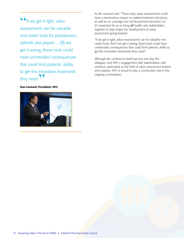66 If we get it right, value assessments can be valuable and useful tools for practitioners, patients and payers. ... [If] we get it wrong, these tools could have unintended consequences that could limit patients' ability to get the innovative treatments they need.<sup>99</sup>

#### **Dan Leonard, President, NPC**



As Mr. Leonard said, "These early value assessments could have a tremendous impact on patient treatment decisions, as well as on coverage and reimbursement decisions. So it's important for us to bring *all* health care stakeholders together to help shape the development of value assessment going forward.

"If we get it right, value assessments can be valuable and useful tools. But if we get it wrong, these tools could have unintended consequences that could limit patients' ability to get the innovative treatments they need."

Although the conference itself was just one day, the dialogue—and NPC's engagement with stakeholders—will continue, particularly as the field of value assessment evolves and matures. NPC is proud to play a constructive role in this ongoing conversation.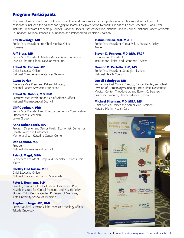# **Program Participants**

NPC would like to thank our conference speakers and cosponsors for their participation in this important dialogue. Our cosponsors included the Alliance for Aging Research, Caregiver Action Network, Friends of Cancer Research, Global Liver Institute, Healthcare Leadership Council, National Black Nurses Association, National Health Council, National Patient Advocate Foundation, National Psoriasis Foundation and Personalized Medicine Coalition.

#### **Roy Beveridge, MD**

Senior Vice President and Chief Medical Officer Humana

#### **Jeff Bloss, MD**

Senior Vice President, Astellas Medical Affairs, Americas Astellas Pharma Global Development, Inc.

#### **Robert W. Carlson, MD**

Chief Executive Officer National Comprehensive Cancer Network

#### **Gwen Darien**

Executive Vice President, Patient Advocacy National Patient Advocate Foundation

### **Robert W. Dubois, MD, PhD**

Executive Vice President and Chief Science Officer National Pharmaceutical Council

#### **Cliff Goodman, PhD**

Senior Vice President and Director, Center for Comparative Effectiveness Research Lewin Group

#### **Anna Kaltenboeck, MA**

Program Director and Senior Health Economist, Center for Health Policy and Outcomes Memorial Sloan Kettering Cancer Center

#### **Dan Leonard, MA**

President National Pharmaceutical Council

#### **Patrick Magri, MBA**

Senior Vice President, Hospital & Specialty Business Unit Merck

### **Shelley Fuld Nasso, MPP**

Chief Executive Officer National Coalition for Cancer Survivorship

#### **Peter J. Neumann, ScD**

Director, Center for the Evaluation of Value and Risk in Health, Institute for Clinical Research and Health Policy Studies, Tufts Medical Center; Professor of Medicine, Tufts University School of Medicine

### **Stephen J. Noga, MD, PhD**

Senior Medical Director, Global Medical Oncology Affairs Takeda Oncology

#### **Joshua Ofman, MD, MSHS**

Senior Vice President, Global Value, Access & Policy Amgen

#### **Steven D. Pearson, MD, MSc, FRCP**

Founder and President Institute for Clinical and Economic Review

#### **Eleanor M. Perfetto, PhD, MS**

Senior Vice President, Strategic Initiatives National Health Council

#### **Lowell Schnipper, MD**

Immediate Past Clinical Director, Cancer Center, and Chief, Division of Hematology/Oncology, Beth Israel Deaconess Medical Center; Theodore W. and Evelyn G. Berenson Professor, Emeritus, Harvard Medical School

#### **Michael Sherman, MD, MBA, MS**

Chief Medical Officer and Senior Vice President Harvard Pilgrim Health Care

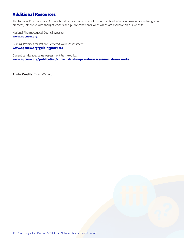# **Additional Resources**

The National Pharmaceutical Council has developed a number of resources about value assessment, including guiding practices, interviews with thought leaders and public comments, all of which are available on our website.

National Pharmaceutical Council Website:

## **[www.npcnow.org](http://www.npcnow.org)**

Guiding Practices for Patient-Centered Value Assessment: **[www.npcnow.org/guidingpractices](http://www.npcnow.org/guidingpractices)**

Current Landscape: Value Assessment Frameworks: **[www.npcnow.org/publication/current-landscape-value-assessment-frameworks](http://www.npcnow.org/publication/current-landscape-value-assessment-frameworks)**

**Photo Credits:** © Ian Wagreich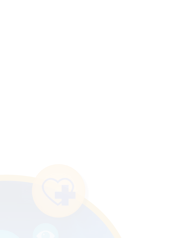